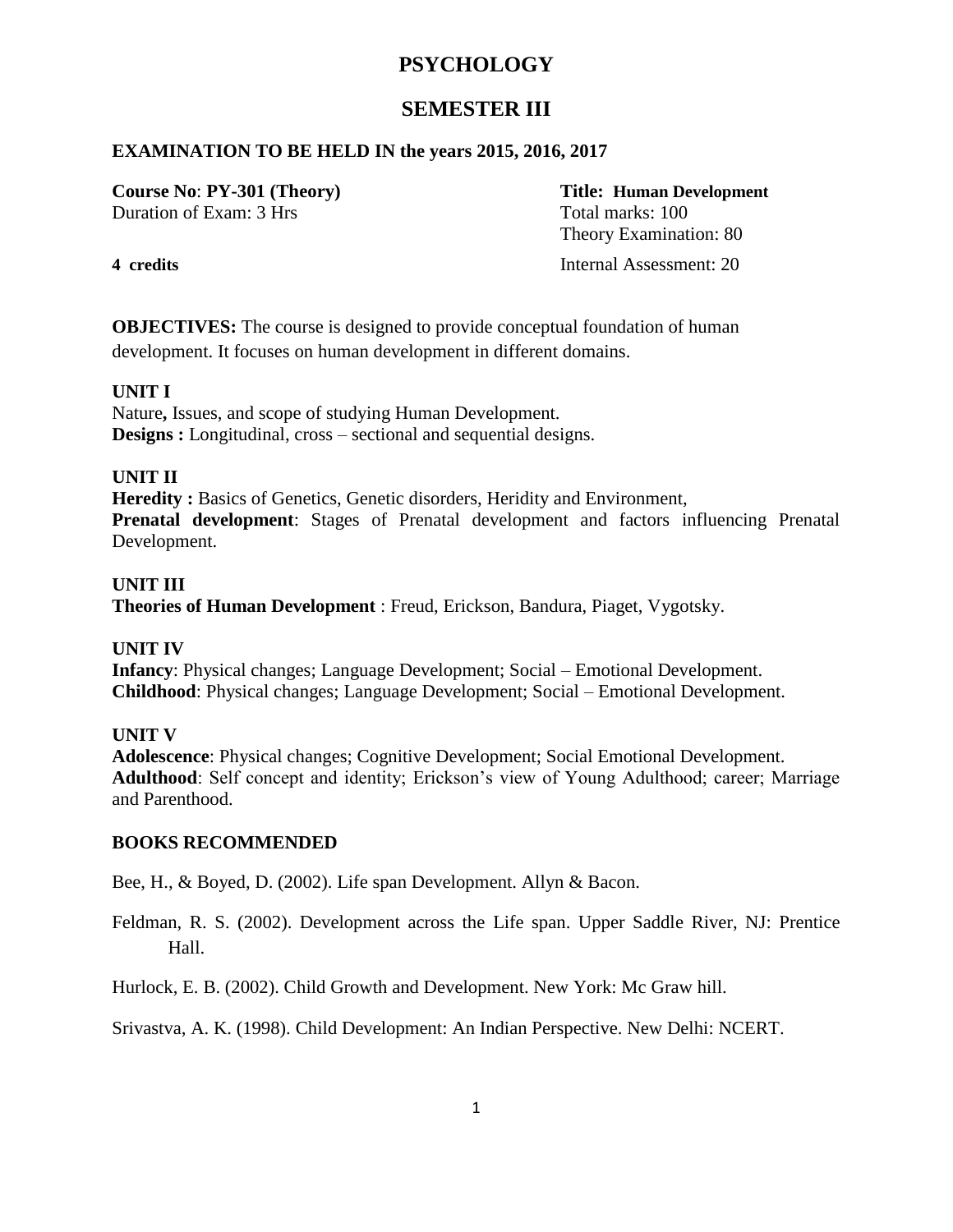# **SEMESTER III**

### **EXAMINATION TO BE HELD IN the years 2015, 2016, 2017**

# **Course No**: **PY-301 (Theory) Title: Human Development**

Duration of Exam: 3 Hrs Total marks: 100 Theory Examination: 80 **4 credits** Internal Assessment: 20

**OBJECTIVES:** The course is designed to provide conceptual foundation of human development. It focuses on human development in different domains.

#### **UNIT I**

Nature**,** Issues, and scope of studying Human Development. **Designs :** Longitudinal, cross – sectional and sequential designs.

## **UNIT II**

Heredity : Basics of Genetics, Genetic disorders, Heridity and Environment, **Prenatal development**: Stages of Prenatal development and factors influencing Prenatal Development.

### **UNIT III**

**Theories of Human Development** : Freud, Erickson, Bandura, Piaget, Vygotsky.

### **UNIT IV**

**Infancy**: Physical changes; Language Development; Social – Emotional Development. **Childhood**: Physical changes; Language Development; Social – Emotional Development.

#### **UNIT V**

**Adolescence**: Physical changes; Cognitive Development; Social Emotional Development. **Adulthood**: Self concept and identity; Erickson's view of Young Adulthood; career; Marriage and Parenthood.

### **BOOKS RECOMMENDED**

Bee, H., & Boyed, D. (2002). Life span Development. Allyn & Bacon.

Feldman, R. S. (2002). Development across the Life span. Upper Saddle River, NJ: Prentice Hall.

Hurlock, E. B. (2002). Child Growth and Development. New York: Mc Graw hill.

Srivastva, A. K. (1998). Child Development: An Indian Perspective. New Delhi: NCERT.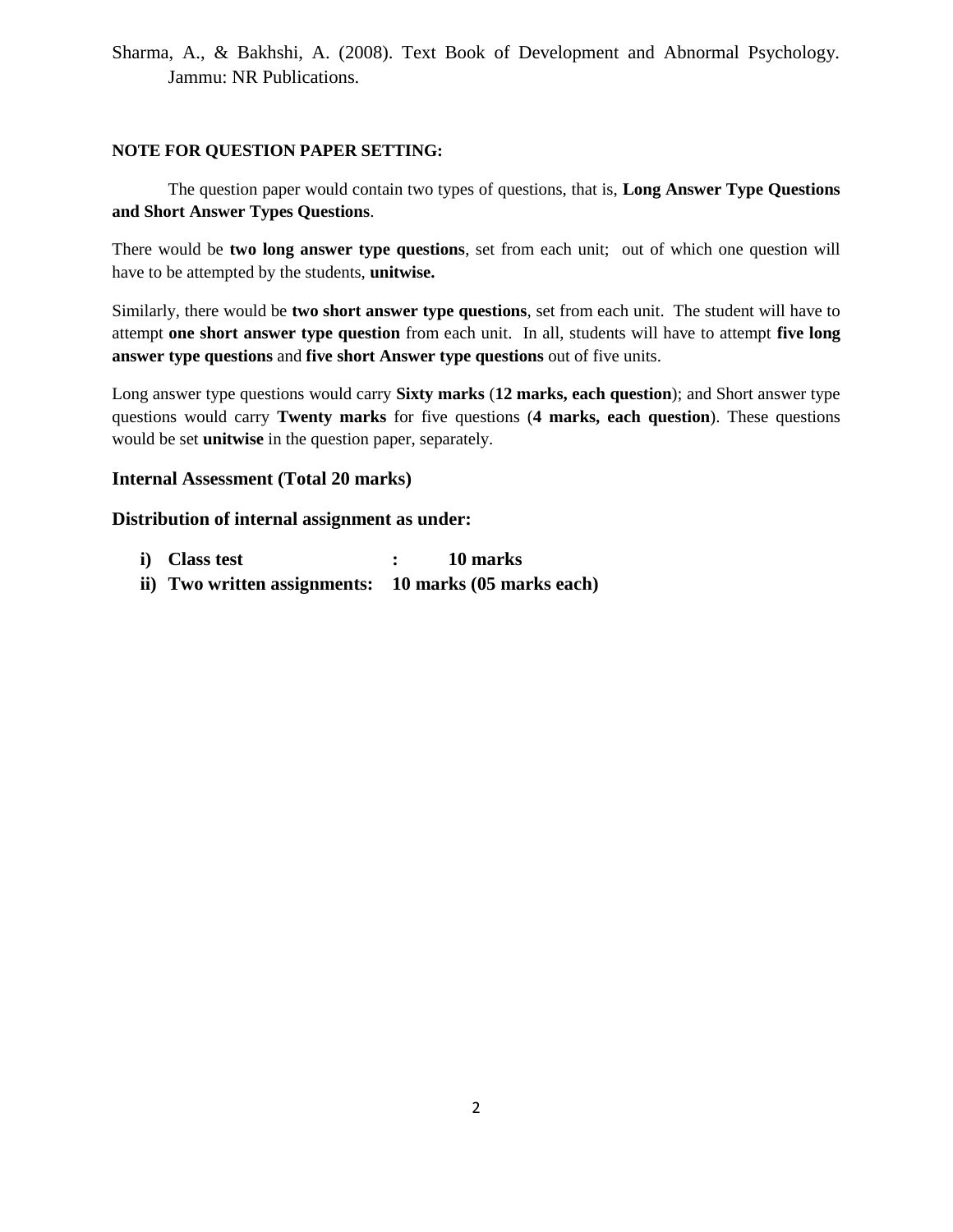Sharma, A., & Bakhshi, A. (2008). Text Book of Development and Abnormal Psychology. Jammu: NR Publications.

#### **NOTE FOR QUESTION PAPER SETTING:**

The question paper would contain two types of questions, that is, **Long Answer Type Questions and Short Answer Types Questions**.

There would be **two long answer type questions**, set from each unit; out of which one question will have to be attempted by the students, **unitwise.**

Similarly, there would be **two short answer type questions**, set from each unit. The student will have to attempt **one short answer type question** from each unit. In all, students will have to attempt **five long answer type questions** and **five short Answer type questions** out of five units.

Long answer type questions would carry **Sixty marks** (**12 marks, each question**); and Short answer type questions would carry **Twenty marks** for five questions (**4 marks, each question**). These questions would be set **unitwise** in the question paper, separately.

#### **Internal Assessment (Total 20 marks)**

- **i) Class test : 10 marks**
- **ii) Two written assignments: 10 marks (05 marks each)**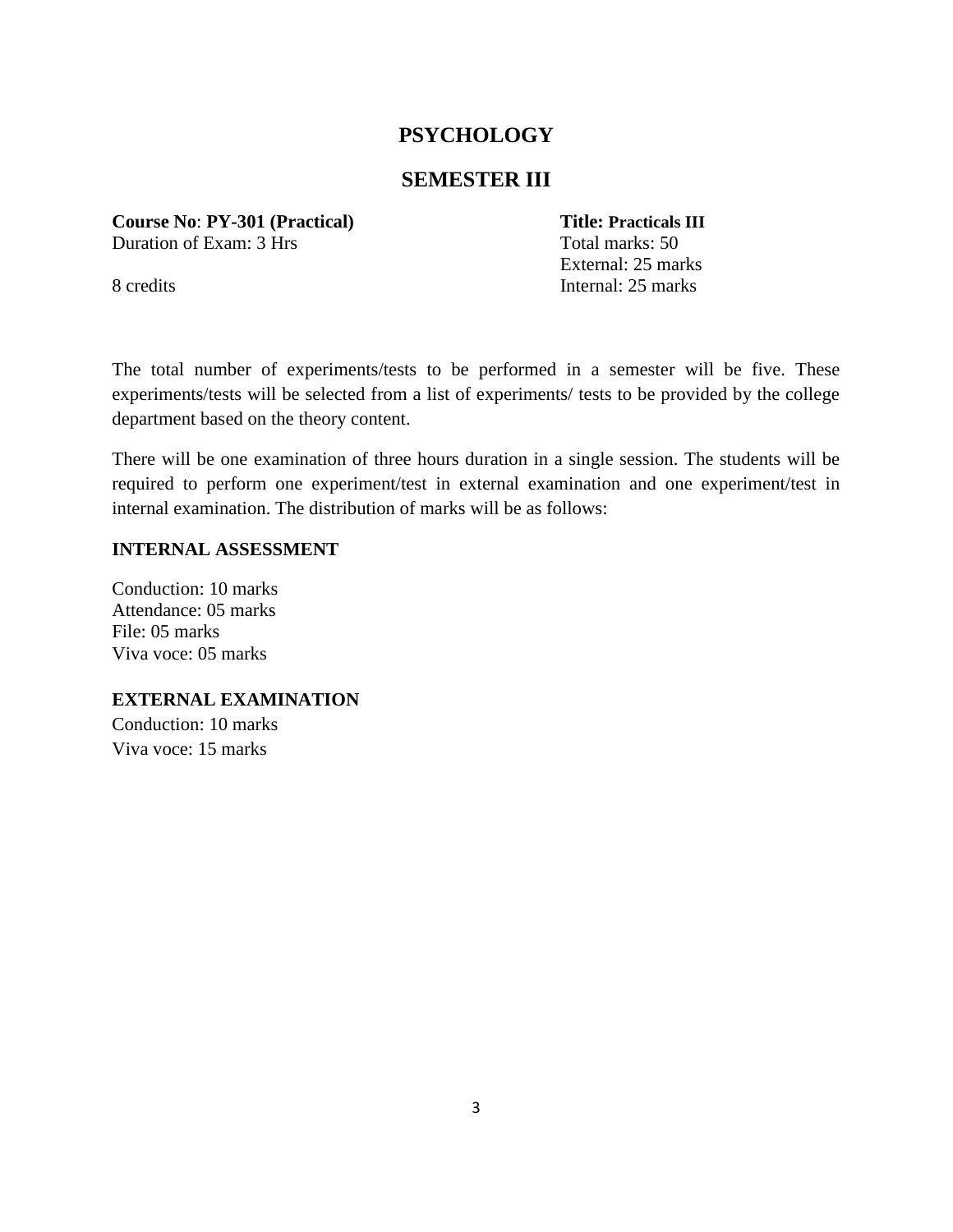# **SEMESTER III**

**Course No**: **PY-301 (Practical) Title: Practicals III** Duration of Exam: 3 Hrs Total marks: 50

External: 25 marks 8 credits Internal: 25 marks

The total number of experiments/tests to be performed in a semester will be five. These experiments/tests will be selected from a list of experiments/ tests to be provided by the college department based on the theory content.

There will be one examination of three hours duration in a single session. The students will be required to perform one experiment/test in external examination and one experiment/test in internal examination. The distribution of marks will be as follows:

#### **INTERNAL ASSESSMENT**

Conduction: 10 marks Attendance: 05 marks File: 05 marks Viva voce: 05 marks

**EXTERNAL EXAMINATION**

Conduction: 10 marks Viva voce: 15 marks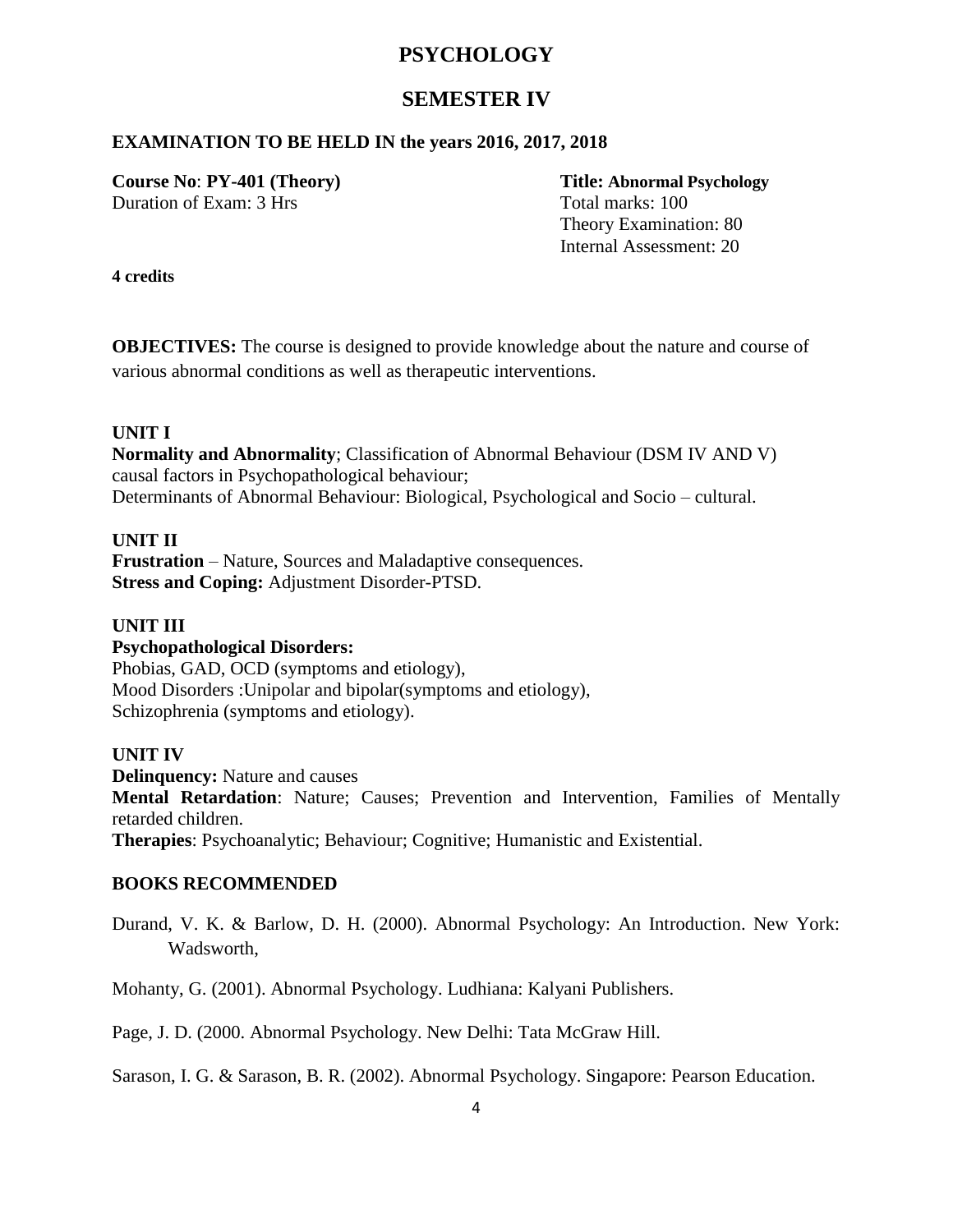# **SEMESTER IV**

### **EXAMINATION TO BE HELD IN the years 2016, 2017, 2018**

**Course No**: **PY-401 (Theory) Title: Abnormal Psychology** Duration of Exam: 3 Hrs Total marks: 100

Theory Examination: 80 Internal Assessment: 20

**4 credits**

**OBJECTIVES:** The course is designed to provide knowledge about the nature and course of various abnormal conditions as well as therapeutic interventions.

#### **UNIT I**

**Normality and Abnormality**; Classification of Abnormal Behaviour (DSM IV AND V) causal factors in Psychopathological behaviour; Determinants of Abnormal Behaviour: Biological, Psychological and Socio – cultural.

### **UNIT II**

**Frustration** – Nature, Sources and Maladaptive consequences. **Stress and Coping:** Adjustment Disorder-PTSD.

#### **UNIT III**

#### **Psychopathological Disorders:**

Phobias, GAD, OCD (symptoms and etiology), Mood Disorders :Unipolar and bipolar(symptoms and etiology), Schizophrenia (symptoms and etiology).

#### **UNIT IV**

**Delinquency:** Nature and causes

**Mental Retardation**: Nature; Causes; Prevention and Intervention, Families of Mentally retarded children.

**Therapies**: Psychoanalytic; Behaviour; Cognitive; Humanistic and Existential.

#### **BOOKS RECOMMENDED**

Durand, V. K. & Barlow, D. H. (2000). Abnormal Psychology: An Introduction. New York: Wadsworth,

Mohanty, G. (2001). Abnormal Psychology. Ludhiana: Kalyani Publishers.

Page, J. D. (2000. Abnormal Psychology. New Delhi: Tata McGraw Hill.

Sarason, I. G. & Sarason, B. R. (2002). Abnormal Psychology. Singapore: Pearson Education.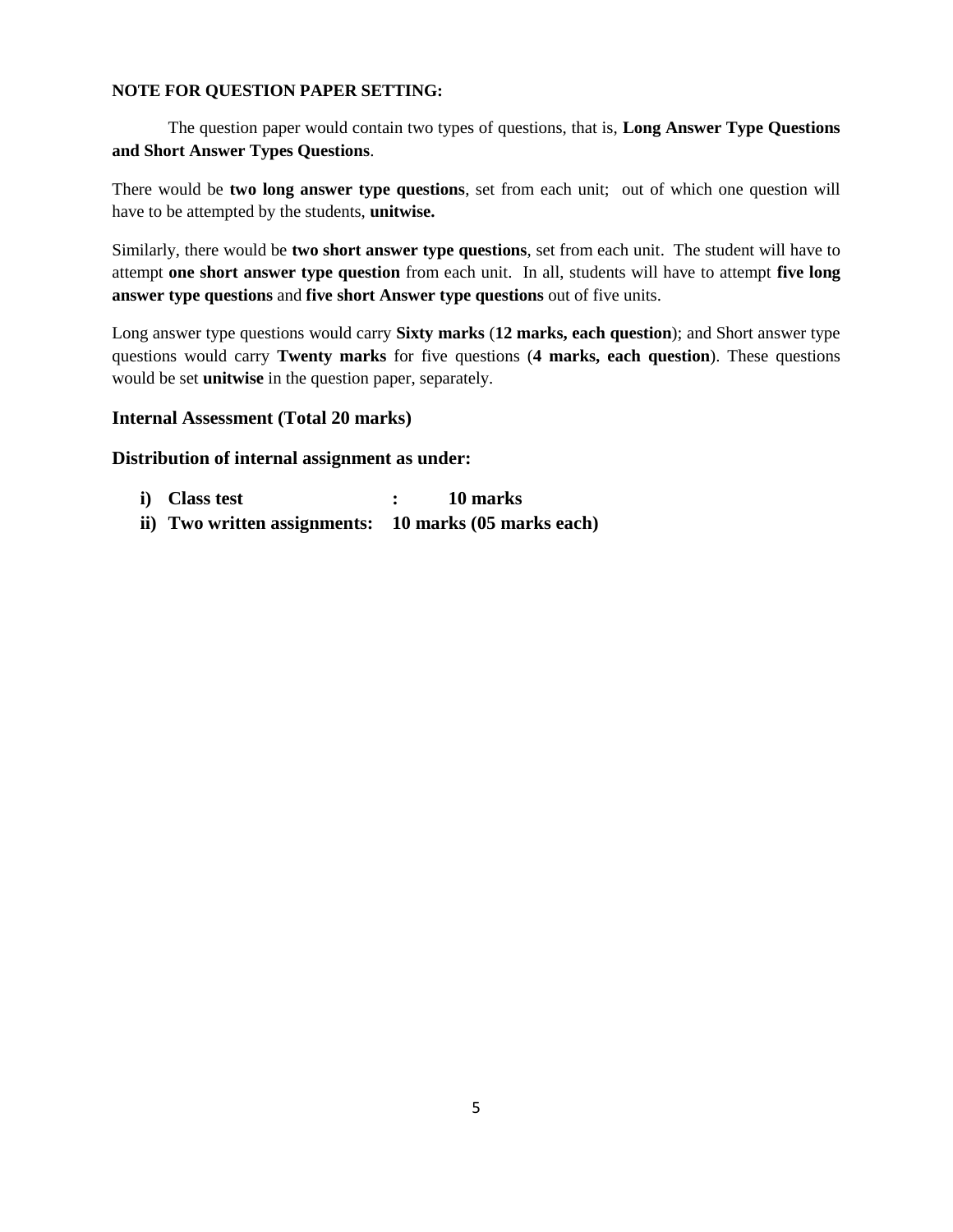#### **NOTE FOR QUESTION PAPER SETTING:**

The question paper would contain two types of questions, that is, **Long Answer Type Questions and Short Answer Types Questions**.

There would be **two long answer type questions**, set from each unit; out of which one question will have to be attempted by the students, **unitwise.**

Similarly, there would be **two short answer type questions**, set from each unit. The student will have to attempt **one short answer type question** from each unit. In all, students will have to attempt **five long answer type questions** and **five short Answer type questions** out of five units.

Long answer type questions would carry **Sixty marks** (**12 marks, each question**); and Short answer type questions would carry **Twenty marks** for five questions (**4 marks, each question**). These questions would be set **unitwise** in the question paper, separately.

#### **Internal Assessment (Total 20 marks)**

- **i) Class test : 10 marks**
- **ii) Two written assignments: 10 marks (05 marks each)**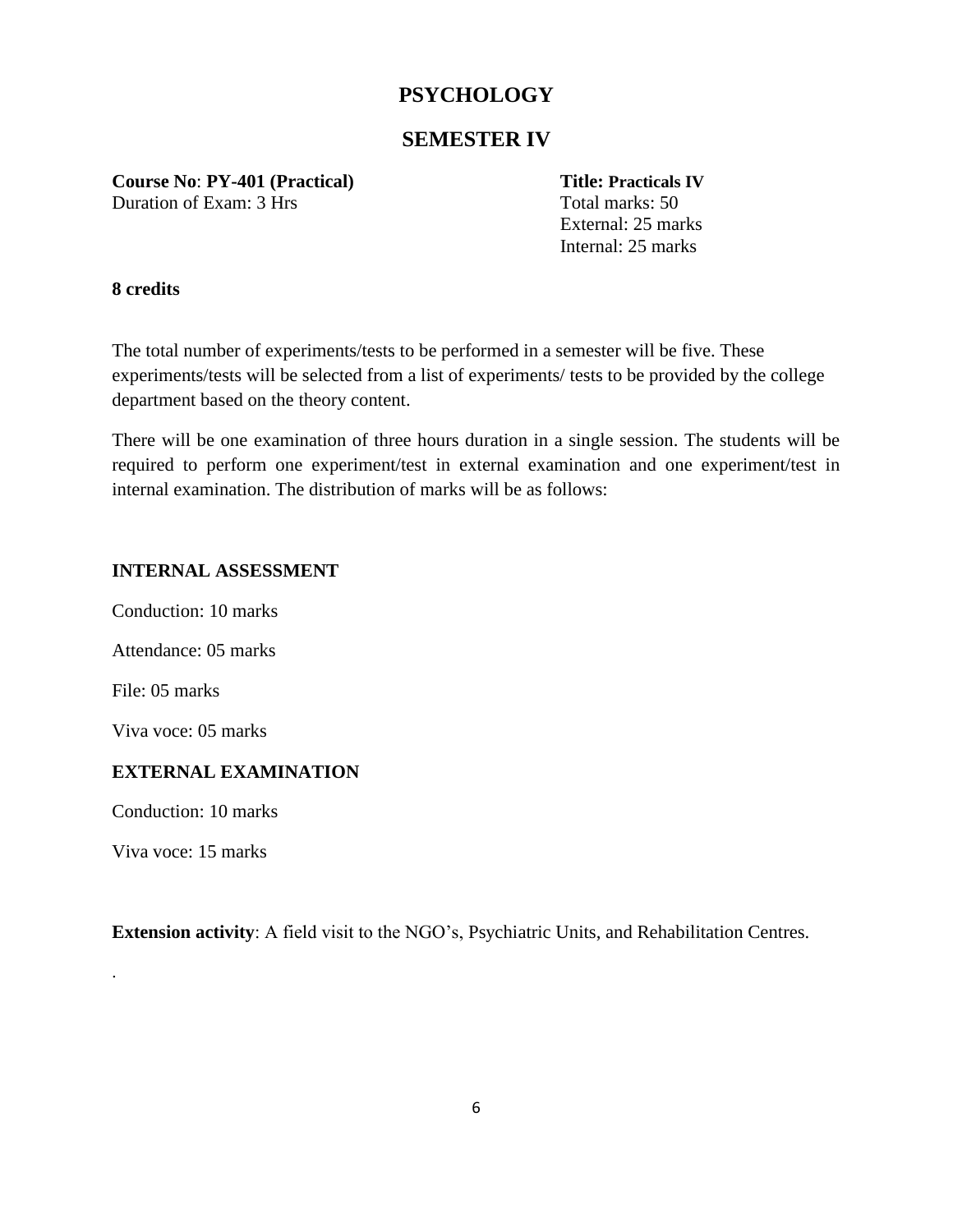# **SEMESTER IV**

**Course No**: **PY-401 (Practical) Title: Practicals IV** Duration of Exam: 3 Hrs Total marks: 50

External: 25 marks Internal: 25 marks

#### **8 credits**

The total number of experiments/tests to be performed in a semester will be five. These experiments/tests will be selected from a list of experiments/ tests to be provided by the college department based on the theory content.

There will be one examination of three hours duration in a single session. The students will be required to perform one experiment/test in external examination and one experiment/test in internal examination. The distribution of marks will be as follows:

### **INTERNAL ASSESSMENT**

Conduction: 10 marks Attendance: 05 marks File: 05 marks Viva voce: 05 marks **EXTERNAL EXAMINATION**

Conduction: 10 marks

Viva voce: 15 marks

.

**Extension activity**: A field visit to the NGO's, Psychiatric Units, and Rehabilitation Centres.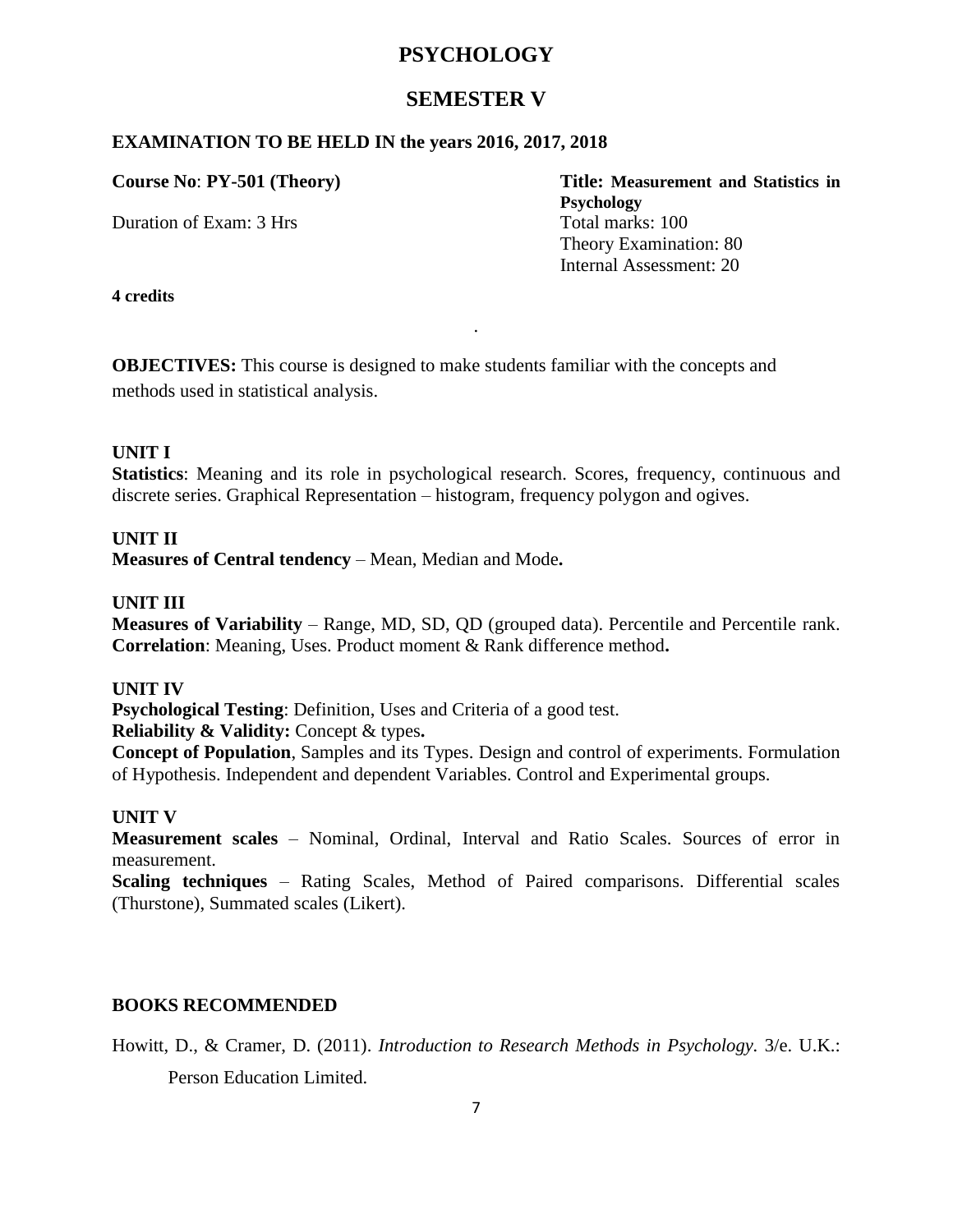# **SEMESTER V**

# **EXAMINATION TO BE HELD IN the years 2016, 2017, 2018**

Duration of Exam: 3 Hrs Total marks: 100

**Course No**: **PY-501 (Theory) Title: Measurement and Statistics in Psychology** Theory Examination: 80 Internal Assessment: 20

**4 credits**

**OBJECTIVES:** This course is designed to make students familiar with the concepts and methods used in statistical analysis.

#### **UNIT I**

**Statistics**: Meaning and its role in psychological research. Scores, frequency, continuous and discrete series. Graphical Representation – histogram, frequency polygon and ogives.

.

# **UNIT II**

**Measures of Central tendency** – Mean, Median and Mode**.** 

### **UNIT III**

**Measures of Variability** – Range, MD, SD, QD (grouped data). Percentile and Percentile rank. **Correlation**: Meaning, Uses. Product moment & Rank difference method**.** 

#### **UNIT IV**

**Psychological Testing**: Definition, Uses and Criteria of a good test.

**Reliability & Validity:** Concept & types**.** 

**Concept of Population**, Samples and its Types. Design and control of experiments. Formulation of Hypothesis. Independent and dependent Variables. Control and Experimental groups.

### **UNIT V**

**Measurement scales** – Nominal, Ordinal, Interval and Ratio Scales. Sources of error in measurement.

**Scaling techniques** – Rating Scales, Method of Paired comparisons. Differential scales (Thurstone), Summated scales (Likert).

### **BOOKS RECOMMENDED**

Howitt, D., & Cramer, D. (2011). *Introduction to Research Methods in Psychology.* 3/e. U.K.: Person Education Limited.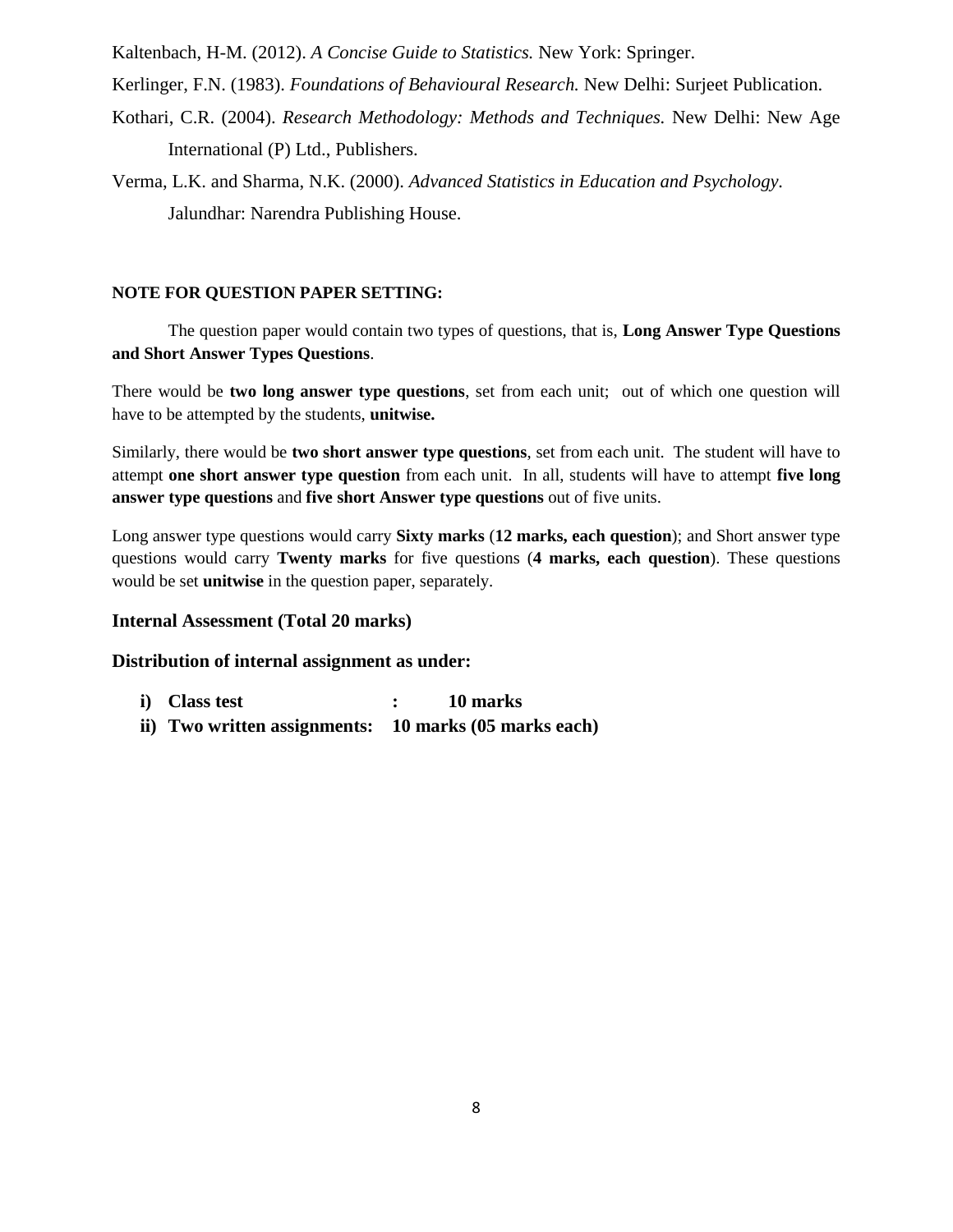Kaltenbach, H-M. (2012). *A Concise Guide to Statistics.* New York: Springer.

Kerlinger, F.N. (1983). *Foundations of Behavioural Research.* New Delhi: Surjeet Publication.

Kothari, C.R. (2004). *Research Methodology: Methods and Techniques.* New Delhi: New Age International (P) Ltd., Publishers.

Verma, L.K. and Sharma, N.K. (2000). *Advanced Statistics in Education and Psychology.*  Jalundhar: Narendra Publishing House.

#### **NOTE FOR QUESTION PAPER SETTING:**

The question paper would contain two types of questions, that is, **Long Answer Type Questions and Short Answer Types Questions**.

There would be **two long answer type questions**, set from each unit; out of which one question will have to be attempted by the students, **unitwise.**

Similarly, there would be **two short answer type questions**, set from each unit. The student will have to attempt **one short answer type question** from each unit. In all, students will have to attempt **five long answer type questions** and **five short Answer type questions** out of five units.

Long answer type questions would carry **Sixty marks** (**12 marks, each question**); and Short answer type questions would carry **Twenty marks** for five questions (**4 marks, each question**). These questions would be set **unitwise** in the question paper, separately.

### **Internal Assessment (Total 20 marks)**

- **i) Class test : 10 marks**
- **ii) Two written assignments: 10 marks (05 marks each)**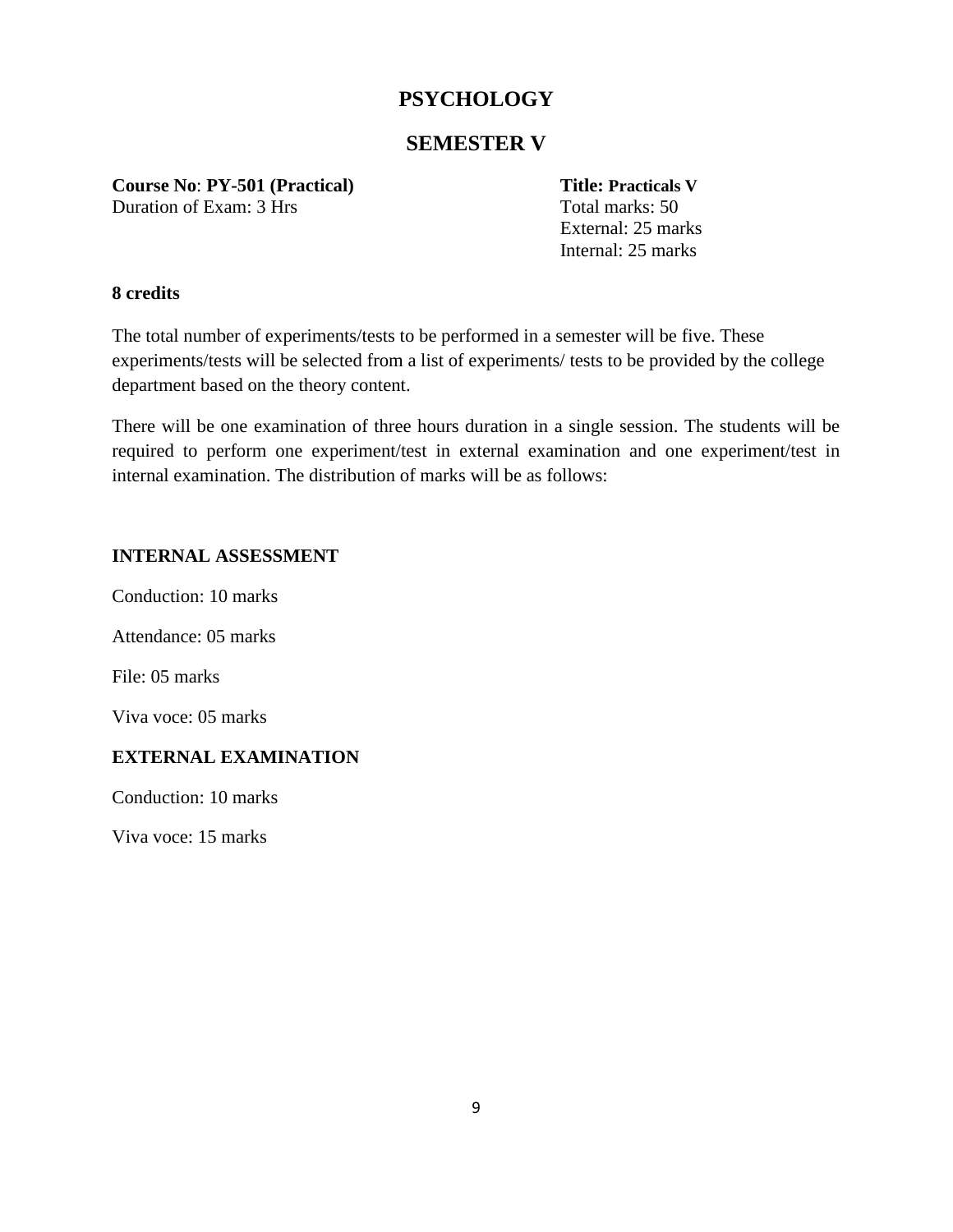# **SEMESTER V**

**Course No**: **PY-501 (Practical) Title: Practicals V**

Duration of Exam: 3 Hrs Total marks: 50

External: 25 marks Internal: 25 marks

# **8 credits**

The total number of experiments/tests to be performed in a semester will be five. These experiments/tests will be selected from a list of experiments/ tests to be provided by the college department based on the theory content.

There will be one examination of three hours duration in a single session. The students will be required to perform one experiment/test in external examination and one experiment/test in internal examination. The distribution of marks will be as follows:

# **INTERNAL ASSESSMENT**

Conduction: 10 marks

Attendance: 05 marks

File: 05 marks

Viva voce: 05 marks

# **EXTERNAL EXAMINATION**

Conduction: 10 marks

Viva voce: 15 marks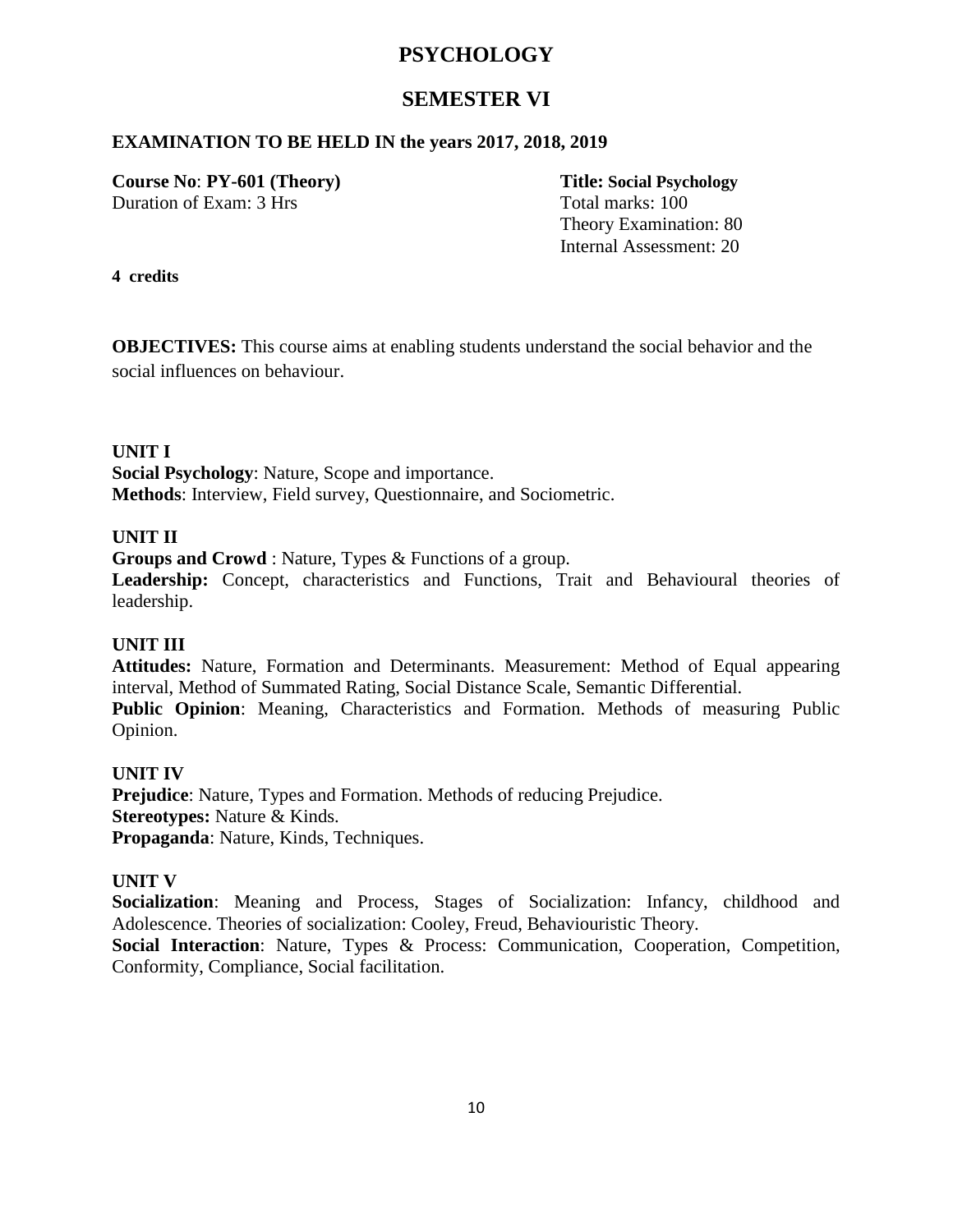# **SEMESTER VI**

### **EXAMINATION TO BE HELD IN the years 2017, 2018, 2019**

**Course No**: **PY-601 (Theory) Title: Social Psychology** Duration of Exam: 3 Hrs Total marks: 100

Theory Examination: 80 Internal Assessment: 20

**4 credits**

**OBJECTIVES:** This course aims at enabling students understand the social behavior and the social influences on behaviour.

#### **UNIT I**

**Social Psychology**: Nature, Scope and importance. **Methods**: Interview, Field survey, Questionnaire, and Sociometric.

#### **UNIT II**

**Groups and Crowd** : Nature, Types & Functions of a group.

**Leadership:** Concept, characteristics and Functions, Trait and Behavioural theories of leadership.

### **UNIT III**

**Attitudes:** Nature, Formation and Determinants. Measurement: Method of Equal appearing interval, Method of Summated Rating, Social Distance Scale, Semantic Differential. **Public Opinion**: Meaning, Characteristics and Formation. Methods of measuring Public Opinion.

#### **UNIT IV**

**Prejudice**: Nature, Types and Formation. Methods of reducing Prejudice. **Stereotypes:** Nature & Kinds. **Propaganda**: Nature, Kinds, Techniques.

#### **UNIT V**

**Socialization**: Meaning and Process, Stages of Socialization: Infancy, childhood and Adolescence. Theories of socialization: Cooley, Freud, Behaviouristic Theory.

**Social Interaction**: Nature, Types & Process: Communication, Cooperation, Competition, Conformity, Compliance, Social facilitation.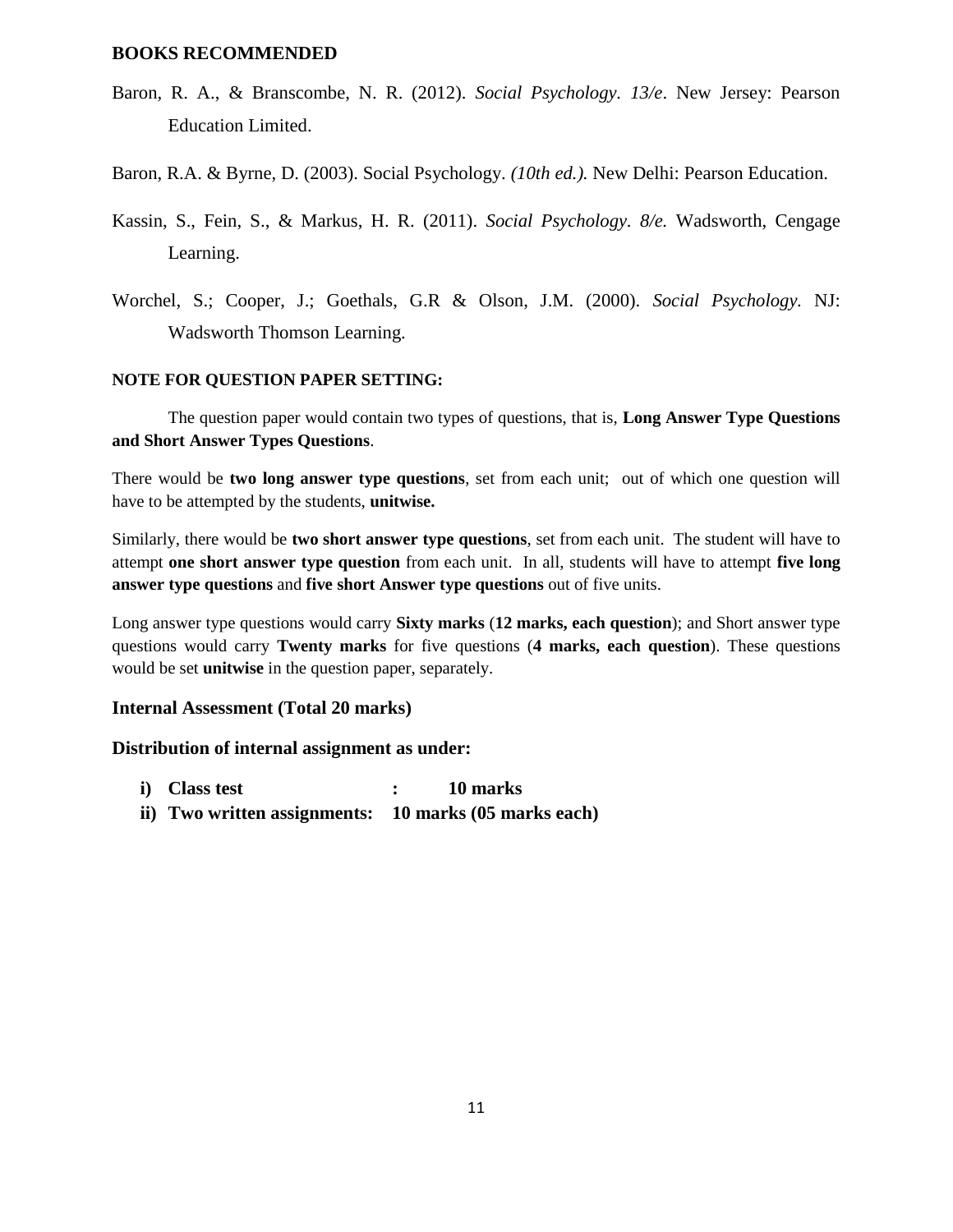#### **BOOKS RECOMMENDED**

- Baron, R. A., & Branscombe, N. R. (2012). *Social Psychology. 13/e*. New Jersey: Pearson Education Limited.
- Baron, R.A. & Byrne, D. (2003). Social Psychology. *(10th ed.).* New Delhi: Pearson Education.
- Kassin, S., Fein, S., & Markus, H. R. (2011). *Social Psychology. 8/e.* Wadsworth, Cengage Learning.
- Worchel, S.; Cooper, J.; Goethals, G.R & Olson, J.M. (2000). *Social Psychology.* NJ: Wadsworth Thomson Learning.

#### **NOTE FOR QUESTION PAPER SETTING:**

The question paper would contain two types of questions, that is, **Long Answer Type Questions and Short Answer Types Questions**.

There would be **two long answer type questions**, set from each unit; out of which one question will have to be attempted by the students, **unitwise.**

Similarly, there would be **two short answer type questions**, set from each unit. The student will have to attempt **one short answer type question** from each unit. In all, students will have to attempt **five long answer type questions** and **five short Answer type questions** out of five units.

Long answer type questions would carry **Sixty marks** (**12 marks, each question**); and Short answer type questions would carry **Twenty marks** for five questions (**4 marks, each question**). These questions would be set **unitwise** in the question paper, separately.

#### **Internal Assessment (Total 20 marks)**

- **i) Class test : 10 marks**
- **ii) Two written assignments: 10 marks (05 marks each)**